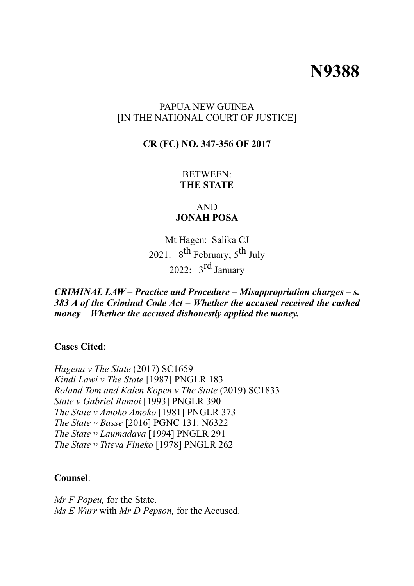# **N9388**

#### PAPUA NEW GUINEA [IN THE NATIONAL COURT OF JUSTICE]

#### **CR (FC) NO. 347-356 OF 2017**

BETWEEN: **THE STATE**

#### AND **JONAH POSA**

Mt Hagen: Salika CJ 2021:  $8^{th}$  February;  $5^{th}$  July 2022:  $3^{\text{rd}}$  January

*CRIMINAL LAW – Practice and Procedure – Misappropriation charges – s. 383 A of the Criminal Code Act – Whether the accused received the cashed money – Whether the accused dishonestly applied the money.*

**Cases Cited**:

*Hagena v The State* (2017) SC1659 *Kindi Lawi v The State* [1987] PNGLR 183 *Roland Tom and Kalen Kopen v The State* (2019) SC1833 *State v Gabriel Ramoi* [1993] PNGLR 390 *The State v Amoko Amoko* [1981] PNGLR 373 *The State v Basse* [2016] PGNC 131: N6322 *The State v Laumadava* [1994] PNGLR 291 *The State v Titeva Fineko* [1978] PNGLR 262

#### **Counsel**:

*Mr F Popeu,* for the State. *Ms E Wurr* with *Mr D Pepson,* for the Accused.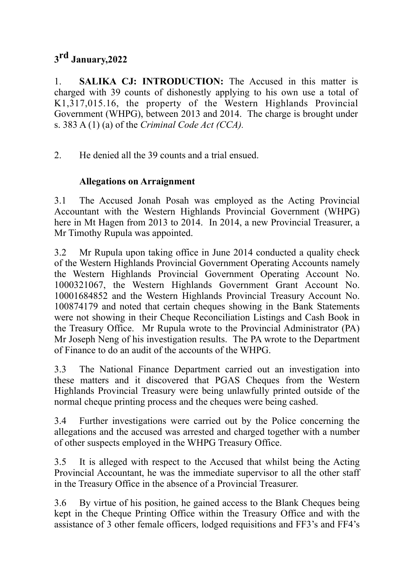# **3rd January,2022**

1. **SALIKA CJ: INTRODUCTION:** The Accused in this matter is charged with 39 counts of dishonestly applying to his own use a total of K1,317,015.16, the property of the Western Highlands Provincial Government (WHPG), between 2013 and 2014. The charge is brought under s. 383 A (1) (a) of the *Criminal Code Act (CCA).*

2. He denied all the 39 counts and a trial ensued.

# **Allegations on Arraignment**

3.1 The Accused Jonah Posah was employed as the Acting Provincial Accountant with the Western Highlands Provincial Government (WHPG) here in Mt Hagen from 2013 to 2014. In 2014, a new Provincial Treasurer, a Mr Timothy Rupula was appointed.

3.2 Mr Rupula upon taking office in June 2014 conducted a quality check of the Western Highlands Provincial Government Operating Accounts namely the Western Highlands Provincial Government Operating Account No. 1000321067, the Western Highlands Government Grant Account No. 10001684852 and the Western Highlands Provincial Treasury Account No. 100874179 and noted that certain cheques showing in the Bank Statements were not showing in their Cheque Reconciliation Listings and Cash Book in the Treasury Office. Mr Rupula wrote to the Provincial Administrator (PA) Mr Joseph Neng of his investigation results. The PA wrote to the Department of Finance to do an audit of the accounts of the WHPG.

3.3 The National Finance Department carried out an investigation into these matters and it discovered that PGAS Cheques from the Western Highlands Provincial Treasury were being unlawfully printed outside of the normal cheque printing process and the cheques were being cashed.

3.4 Further investigations were carried out by the Police concerning the allegations and the accused was arrested and charged together with a number of other suspects employed in the WHPG Treasury Office.

3.5 It is alleged with respect to the Accused that whilst being the Acting Provincial Accountant, he was the immediate supervisor to all the other staff in the Treasury Office in the absence of a Provincial Treasurer.

3.6 By virtue of his position, he gained access to the Blank Cheques being kept in the Cheque Printing Office within the Treasury Office and with the assistance of 3 other female officers, lodged requisitions and FF3's and FF4's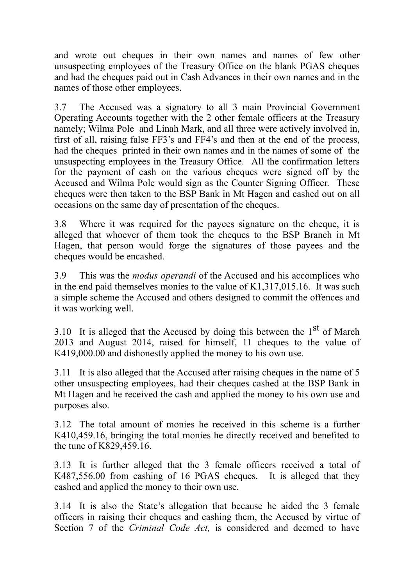and wrote out cheques in their own names and names of few other unsuspecting employees of the Treasury Office on the blank PGAS cheques and had the cheques paid out in Cash Advances in their own names and in the names of those other employees.

3.7 The Accused was a signatory to all 3 main Provincial Government Operating Accounts together with the 2 other female officers at the Treasury namely; Wilma Pole and Linah Mark, and all three were actively involved in, first of all, raising false FF3's and FF4's and then at the end of the process, had the cheques printed in their own names and in the names of some of the unsuspecting employees in the Treasury Office. All the confirmation letters for the payment of cash on the various cheques were signed off by the Accused and Wilma Pole would sign as the Counter Signing Officer. These cheques were then taken to the BSP Bank in Mt Hagen and cashed out on all occasions on the same day of presentation of the cheques.

3.8 Where it was required for the payees signature on the cheque, it is alleged that whoever of them took the cheques to the BSP Branch in Mt Hagen, that person would forge the signatures of those payees and the cheques would be encashed.

3.9 This was the *modus operandi* of the Accused and his accomplices who in the end paid themselves monies to the value of K1,317,015.16. It was such a simple scheme the Accused and others designed to commit the offences and it was working well.

3.10 It is alleged that the Accused by doing this between the  $1<sup>st</sup>$  of March 2013 and August 2014, raised for himself, 11 cheques to the value of K419,000.00 and dishonestly applied the money to his own use.

3.11 It is also alleged that the Accused after raising cheques in the name of 5 other unsuspecting employees, had their cheques cashed at the BSP Bank in Mt Hagen and he received the cash and applied the money to his own use and purposes also.

3.12 The total amount of monies he received in this scheme is a further K410,459.16, bringing the total monies he directly received and benefited to the tune of K829,459.16.

3.13 It is further alleged that the 3 female officers received a total of K487,556.00 from cashing of 16 PGAS cheques. It is alleged that they cashed and applied the money to their own use.

3.14 It is also the State's allegation that because he aided the 3 female officers in raising their cheques and cashing them, the Accused by virtue of Section 7 of the *Criminal Code Act,* is considered and deemed to have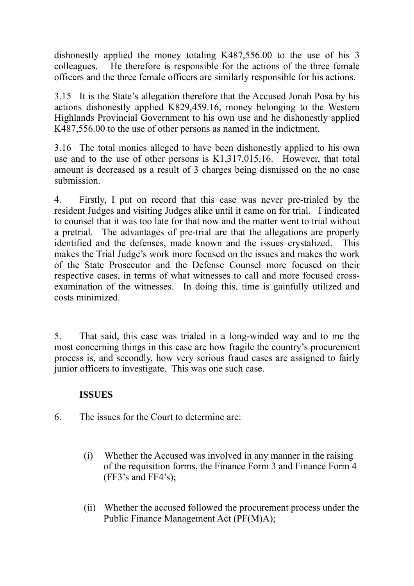dishonestly applied the money totaling K487,556.00 to the use of his 3 colleagues. He therefore is responsible for the actions of the three female officers and the three female officers are similarly responsible for his actions.

3.15 It is the State's allegation therefore that the Accused Jonah Posa by his actions dishonestly applied K829,459.16, money belonging to the Western Highlands Provincial Government to his own use and he dishonestly applied K487,556.00 to the use of other persons as named in the indictment.

3.16 The total monies alleged to have been dishonestly applied to his own use and to the use of other persons is K1,317,015.16. However, that total amount is decreased as a result of 3 charges being dismissed on the no case submission.

4. Firstly, I put on record that this case was never pre-trialed by the resident Judges and visiting Judges alike until it came on for trial. I indicated to counsel that it was too late for that now and the matter went to trial without a pretrial. The advantages of pre-trial are that the allegations are properly identified and the defenses, made known and the issues crystalized. This makes the Trial Judge's work more focused on the issues and makes the work of the State Prosecutor and the Defense Counsel more focused on their respective cases, in terms of what witnesses to call and more focused crossexamination of the witnesses. In doing this, time is gainfully utilized and costs minimized.

5. That said, this case was trialed in a long-winded way and to me the most concerning things in this case are how fragile the country's procurement process is, and secondly, how very serious fraud cases are assigned to fairly junior officers to investigate. This was one such case.

## **ISSUES**

- 6. The issues for the Court to determine are:
	- (i) Whether the Accused was involved in any manner in the raising of the requisition forms, the Finance Form 3 and Finance Form 4  $(FF3's$  and  $FF4's$ );
	- (ii) Whether the accused followed the procurement process under the Public Finance Management Act (PF(M)A);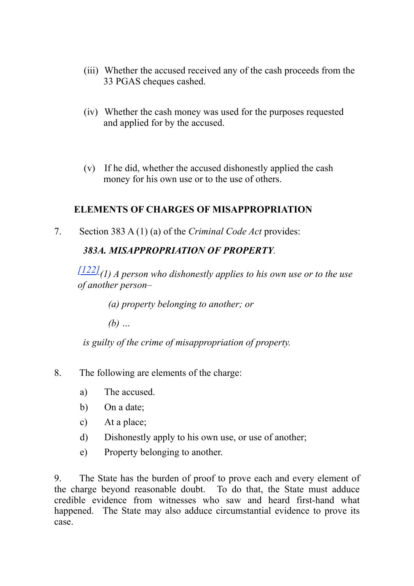- (iii) Whether the accused received any of the cash proceeds from the 33 PGAS cheques cashed.
- (iv) Whether the cash money was used for the purposes requested and applied for by the accused.
- (v) If he did, whether the accused dishonestly applied the cash money for his own use or to the use of others.

#### **ELEMENTS OF CHARGES OF MISAPPROPRIATION**

7. Section 383 A (1) (a) of the *Criminal Code Act* provides:

## *383A. MISAPPROPRIATION OF PROPERTY.*

*[\[122\]\(](http://www.paclii.org/pg/legis/consol_act/cca1974115/%22%20%5Cl%20%22fn122)1) A person who dishonestly applies to his own use or to the use of another person–*

*(a) property belonging to another; or*

*(b) …*

*is guilty of the crime of misappropriation of property.*

- 8. The following are elements of the charge:
	- a) The accused.
	- b) On a date;
	- c) At a place;
	- d) Dishonestly apply to his own use, or use of another;
	- e) Property belonging to another.

9. The State has the burden of proof to prove each and every element of the charge beyond reasonable doubt. To do that, the State must adduce credible evidence from witnesses who saw and heard first-hand what happened. The State may also adduce circumstantial evidence to prove its case.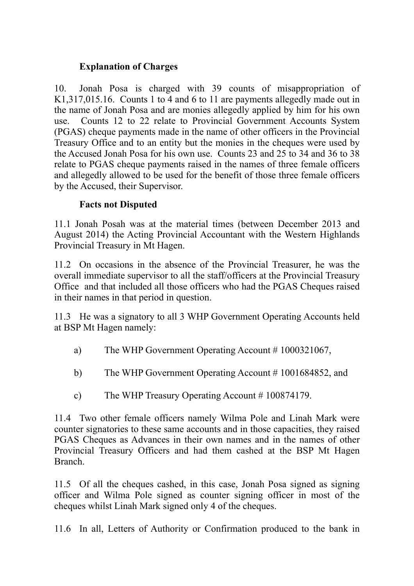#### **Explanation of Charges**

10. Jonah Posa is charged with 39 counts of misappropriation of K1,317,015.16. Counts 1 to 4 and 6 to 11 are payments allegedly made out in the name of Jonah Posa and are monies allegedly applied by him for his own use. Counts 12 to 22 relate to Provincial Government Accounts System (PGAS) cheque payments made in the name of other officers in the Provincial Treasury Office and to an entity but the monies in the cheques were used by the Accused Jonah Posa for his own use. Counts 23 and 25 to 34 and 36 to 38 relate to PGAS cheque payments raised in the names of three female officers and allegedly allowed to be used for the benefit of those three female officers by the Accused, their Supervisor.

#### **Facts not Disputed**

11.1 Jonah Posah was at the material times (between December 2013 and August 2014) the Acting Provincial Accountant with the Western Highlands Provincial Treasury in Mt Hagen.

11.2 On occasions in the absence of the Provincial Treasurer, he was the overall immediate supervisor to all the staff/officers at the Provincial Treasury Office and that included all those officers who had the PGAS Cheques raised in their names in that period in question.

11.3 He was a signatory to all 3 WHP Government Operating Accounts held at BSP Mt Hagen namely:

- a) The WHP Government Operating Account # 1000321067,
- b) The WHP Government Operating Account # 1001684852, and
- c) The WHP Treasury Operating Account # 100874179.

11.4 Two other female officers namely Wilma Pole and Linah Mark were counter signatories to these same accounts and in those capacities, they raised PGAS Cheques as Advances in their own names and in the names of other Provincial Treasury Officers and had them cashed at the BSP Mt Hagen Branch.

11.5 Of all the cheques cashed, in this case, Jonah Posa signed as signing officer and Wilma Pole signed as counter signing officer in most of the cheques whilst Linah Mark signed only 4 of the cheques.

11.6 In all, Letters of Authority or Confirmation produced to the bank in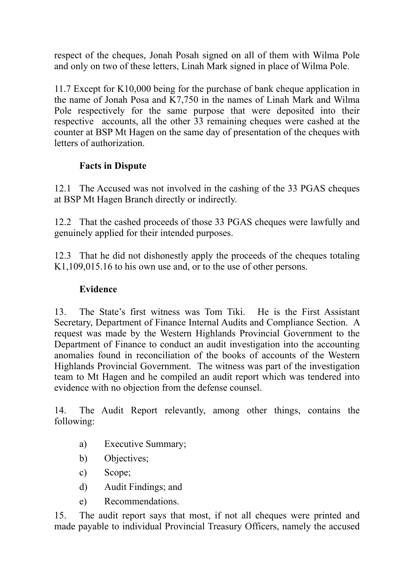respect of the cheques, Jonah Posah signed on all of them with Wilma Pole and only on two of these letters, Linah Mark signed in place of Wilma Pole.

11.7 Except for K10,000 being for the purchase of bank cheque application in the name of Jonah Posa and K7,750 in the names of Linah Mark and Wilma Pole respectively for the same purpose that were deposited into their respective accounts, all the other 33 remaining cheques were cashed at the counter at BSP Mt Hagen on the same day of presentation of the cheques with letters of authorization.

# **Facts in Dispute**

12.1 The Accused was not involved in the cashing of the 33 PGAS cheques at BSP Mt Hagen Branch directly or indirectly.

12.2 That the cashed proceeds of those 33 PGAS cheques were lawfully and genuinely applied for their intended purposes.

12.3 That he did not dishonestly apply the proceeds of the cheques totaling K1,109,015.16 to his own use and, or to the use of other persons.

# **Evidence**

13. The State's first witness was Tom Tiki. He is the First Assistant Secretary, Department of Finance Internal Audits and Compliance Section. A request was made by the Western Highlands Provincial Government to the Department of Finance to conduct an audit investigation into the accounting anomalies found in reconciliation of the books of accounts of the Western Highlands Provincial Government. The witness was part of the investigation team to Mt Hagen and he compiled an audit report which was tendered into evidence with no objection from the defense counsel.

14. The Audit Report relevantly, among other things, contains the following:

- a) Executive Summary;
- b) Objectives;
- c) Scope;
- d) Audit Findings; and
- e) Recommendations.

15. The audit report says that most, if not all cheques were printed and made payable to individual Provincial Treasury Officers, namely the accused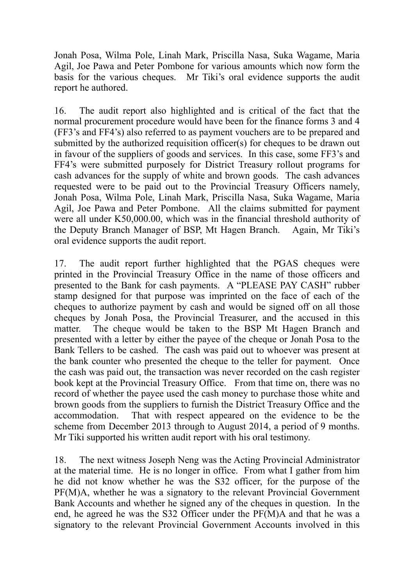Jonah Posa, Wilma Pole, Linah Mark, Priscilla Nasa, Suka Wagame, Maria Agil, Joe Pawa and Peter Pombone for various amounts which now form the basis for the various cheques. Mr Tiki's oral evidence supports the audit report he authored.

16. The audit report also highlighted and is critical of the fact that the normal procurement procedure would have been for the finance forms 3 and 4 (FF3's and FF4's) also referred to as payment vouchers are to be prepared and submitted by the authorized requisition officer(s) for cheques to be drawn out in favour of the suppliers of goods and services. In this case, some FF3's and FF4's were submitted purposely for District Treasury rollout programs for cash advances for the supply of white and brown goods. The cash advances requested were to be paid out to the Provincial Treasury Officers namely, Jonah Posa, Wilma Pole, Linah Mark, Priscilla Nasa, Suka Wagame, Maria Agil, Joe Pawa and Peter Pombone. All the claims submitted for payment were all under K50,000.00, which was in the financial threshold authority of the Deputy Branch Manager of BSP, Mt Hagen Branch. Again, Mr Tiki's oral evidence supports the audit report.

17. The audit report further highlighted that the PGAS cheques were printed in the Provincial Treasury Office in the name of those officers and presented to the Bank for cash payments. A "PLEASE PAY CASH" rubber stamp designed for that purpose was imprinted on the face of each of the cheques to authorize payment by cash and would be signed off on all those cheques by Jonah Posa, the Provincial Treasurer, and the accused in this matter. The cheque would be taken to the BSP Mt Hagen Branch and presented with a letter by either the payee of the cheque or Jonah Posa to the Bank Tellers to be cashed. The cash was paid out to whoever was present at the bank counter who presented the cheque to the teller for payment. Once the cash was paid out, the transaction was never recorded on the cash register book kept at the Provincial Treasury Office. From that time on, there was no record of whether the payee used the cash money to purchase those white and brown goods from the suppliers to furnish the District Treasury Office and the accommodation. That with respect appeared on the evidence to be the scheme from December 2013 through to August 2014, a period of 9 months. Mr Tiki supported his written audit report with his oral testimony.

18. The next witness Joseph Neng was the Acting Provincial Administrator at the material time. He is no longer in office. From what I gather from him he did not know whether he was the S32 officer, for the purpose of the PF(M)A, whether he was a signatory to the relevant Provincial Government Bank Accounts and whether he signed any of the cheques in question. In the end, he agreed he was the S32 Officer under the PF(M)A and that he was a signatory to the relevant Provincial Government Accounts involved in this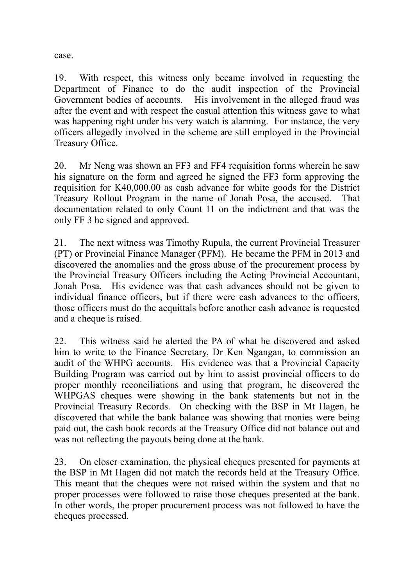case.

19. With respect, this witness only became involved in requesting the Department of Finance to do the audit inspection of the Provincial Government bodies of accounts. His involvement in the alleged fraud was after the event and with respect the casual attention this witness gave to what was happening right under his very watch is alarming. For instance, the very officers allegedly involved in the scheme are still employed in the Provincial Treasury Office.

20. Mr Neng was shown an FF3 and FF4 requisition forms wherein he saw his signature on the form and agreed he signed the FF3 form approving the requisition for K40,000.00 as cash advance for white goods for the District Treasury Rollout Program in the name of Jonah Posa, the accused. That documentation related to only Count 11 on the indictment and that was the only FF 3 he signed and approved.

21. The next witness was Timothy Rupula, the current Provincial Treasurer (PT) or Provincial Finance Manager (PFM). He became the PFM in 2013 and discovered the anomalies and the gross abuse of the procurement process by the Provincial Treasury Officers including the Acting Provincial Accountant, Jonah Posa. His evidence was that cash advances should not be given to individual finance officers, but if there were cash advances to the officers, those officers must do the acquittals before another cash advance is requested and a cheque is raised.

22. This witness said he alerted the PA of what he discovered and asked him to write to the Finance Secretary, Dr Ken Ngangan, to commission an audit of the WHPG accounts. His evidence was that a Provincial Capacity Building Program was carried out by him to assist provincial officers to do proper monthly reconciliations and using that program, he discovered the WHPGAS cheques were showing in the bank statements but not in the Provincial Treasury Records. On checking with the BSP in Mt Hagen, he discovered that while the bank balance was showing that monies were being paid out, the cash book records at the Treasury Office did not balance out and was not reflecting the payouts being done at the bank.

23. On closer examination, the physical cheques presented for payments at the BSP in Mt Hagen did not match the records held at the Treasury Office. This meant that the cheques were not raised within the system and that no proper processes were followed to raise those cheques presented at the bank. In other words, the proper procurement process was not followed to have the cheques processed.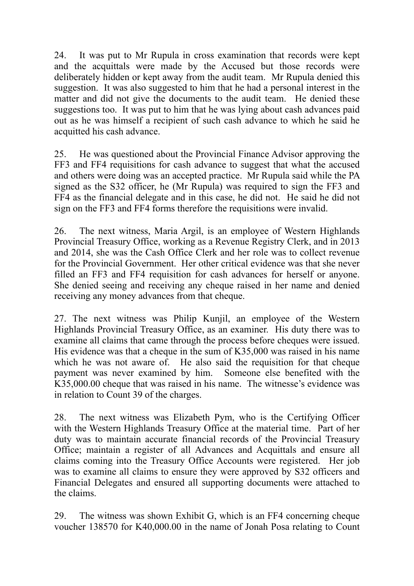24. It was put to Mr Rupula in cross examination that records were kept and the acquittals were made by the Accused but those records were deliberately hidden or kept away from the audit team. Mr Rupula denied this suggestion. It was also suggested to him that he had a personal interest in the matter and did not give the documents to the audit team. He denied these suggestions too. It was put to him that he was lying about cash advances paid out as he was himself a recipient of such cash advance to which he said he acquitted his cash advance.

25. He was questioned about the Provincial Finance Advisor approving the FF3 and FF4 requisitions for cash advance to suggest that what the accused and others were doing was an accepted practice. Mr Rupula said while the PA signed as the S32 officer, he (Mr Rupula) was required to sign the FF3 and FF4 as the financial delegate and in this case, he did not. He said he did not sign on the FF3 and FF4 forms therefore the requisitions were invalid.

26. The next witness, Maria Argil, is an employee of Western Highlands Provincial Treasury Office, working as a Revenue Registry Clerk, and in 2013 and 2014, she was the Cash Office Clerk and her role was to collect revenue for the Provincial Government. Her other critical evidence was that she never filled an FF3 and FF4 requisition for cash advances for herself or anyone. She denied seeing and receiving any cheque raised in her name and denied receiving any money advances from that cheque.

27. The next witness was Philip Kunjil, an employee of the Western Highlands Provincial Treasury Office, as an examiner. His duty there was to examine all claims that came through the process before cheques were issued. His evidence was that a cheque in the sum of K35,000 was raised in his name which he was not aware of. He also said the requisition for that cheque payment was never examined by him. Someone else benefited with the K35,000.00 cheque that was raised in his name. The witnesse's evidence was in relation to Count 39 of the charges.

28. The next witness was Elizabeth Pym, who is the Certifying Officer with the Western Highlands Treasury Office at the material time. Part of her duty was to maintain accurate financial records of the Provincial Treasury Office; maintain a register of all Advances and Acquittals and ensure all claims coming into the Treasury Office Accounts were registered. Her job was to examine all claims to ensure they were approved by S32 officers and Financial Delegates and ensured all supporting documents were attached to the claims.

29. The witness was shown Exhibit G, which is an FF4 concerning cheque voucher 138570 for K40,000.00 in the name of Jonah Posa relating to Count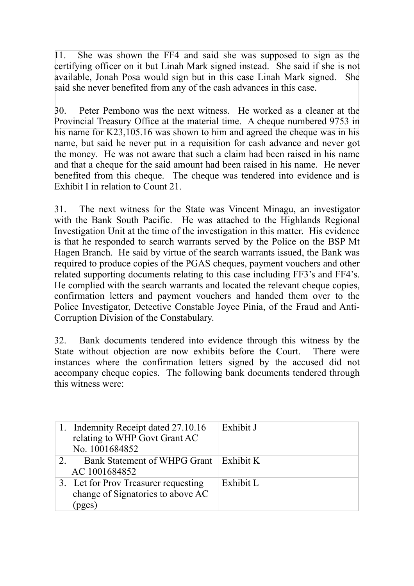11. She was shown the FF4 and said she was supposed to sign as the certifying officer on it but Linah Mark signed instead. She said if she is not available, Jonah Posa would sign but in this case Linah Mark signed. She said she never benefited from any of the cash advances in this case.

30. Peter Pembono was the next witness. He worked as a cleaner at the Provincial Treasury Office at the material time. A cheque numbered 9753 in his name for K23,105.16 was shown to him and agreed the cheque was in his name, but said he never put in a requisition for cash advance and never got the money. He was not aware that such a claim had been raised in his name and that a cheque for the said amount had been raised in his name. He never benefited from this cheque. The cheque was tendered into evidence and is Exhibit I in relation to Count 21.

31. The next witness for the State was Vincent Minagu, an investigator with the Bank South Pacific. He was attached to the Highlands Regional Investigation Unit at the time of the investigation in this matter. His evidence is that he responded to search warrants served by the Police on the BSP Mt Hagen Branch. He said by virtue of the search warrants issued, the Bank was required to produce copies of the PGAS cheques, payment vouchers and other related supporting documents relating to this case including FF3's and FF4's. He complied with the search warrants and located the relevant cheque copies, confirmation letters and payment vouchers and handed them over to the Police Investigator, Detective Constable Joyce Pinia, of the Fraud and Anti-Corruption Division of the Constabulary.

32. Bank documents tendered into evidence through this witness by the State without objection are now exhibits before the Court. There were instances where the confirmation letters signed by the accused did not accompany cheque copies. The following bank documents tendered through this witness were:

| 1. Indemnity Receipt dated 27.10.16<br>relating to WHP Govt Grant AC<br>No. 1001684852 | Exhibit J |
|----------------------------------------------------------------------------------------|-----------|
| Bank Statement of WHPG Grant   Exhibit K<br>AC 1001684852                              |           |
| 3. Let for Prov Treasurer requesting<br>change of Signatories to above AC<br>(pges)    | Exhibit L |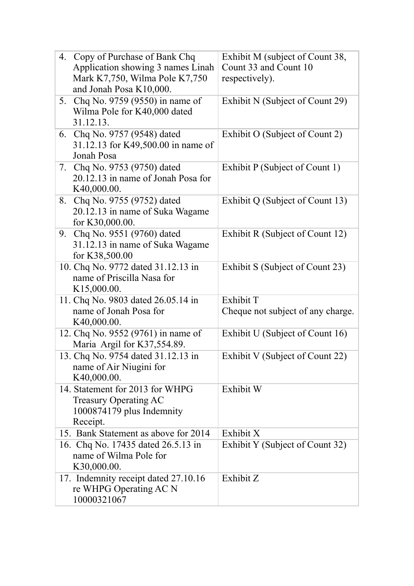| 4. Copy of Purchase of Bank Chq      | Exhibit M (subject of Count 38,   |
|--------------------------------------|-----------------------------------|
| Application showing 3 names Linah    | Count 33 and Count 10             |
| Mark K7,750, Wilma Pole K7,750       | respectively).                    |
| and Jonah Posa K10,000.              |                                   |
| 5. Chq No. 9759 (9550) in name of    | Exhibit N (Subject of Count 29)   |
| Wilma Pole for K40,000 dated         |                                   |
| 31.12.13.                            |                                   |
| 6. Chq No. 9757 (9548) dated         | Exhibit O (Subject of Count 2)    |
| 31.12.13 for K49,500.00 in name of   |                                   |
| Jonah Posa                           |                                   |
| 7. Chq No. 9753 (9750) dated         | Exhibit P (Subject of Count 1)    |
| 20.12.13 in name of Jonah Posa for   |                                   |
| K40,000.00.                          |                                   |
| 8. Chq No. 9755 (9752) dated         | Exhibit Q (Subject of Count 13)   |
| 20.12.13 in name of Suka Wagame      |                                   |
| for K30,000.00.                      |                                   |
| 9. Chq No. 9551 (9760) dated         | Exhibit R (Subject of Count 12)   |
| 31.12.13 in name of Suka Wagame      |                                   |
| for K38,500.00                       |                                   |
| 10. Chq No. 9772 dated 31.12.13 in   | Exhibit S (Subject of Count 23)   |
| name of Priscilla Nasa for           |                                   |
| K15,000.00.                          |                                   |
| 11. Chq No. 9803 dated 26.05.14 in   | Exhibit T                         |
| name of Jonah Posa for               | Cheque not subject of any charge. |
| K40,000.00.                          |                                   |
| 12. Chq No. 9552 (9761) in name of   | Exhibit U (Subject of Count 16)   |
| Maria Argil for K37,554.89.          |                                   |
| 13. Chq No. 9754 dated 31.12.13 in   | Exhibit V (Subject of Count 22)   |
| name of Air Niugini for              |                                   |
| K40,000.00.                          |                                   |
| 14. Statement for 2013 for WHPG      | Exhibit W                         |
| Treasury Operating AC                |                                   |
| 1000874179 plus Indemnity            |                                   |
| Receipt.                             |                                   |
| 15. Bank Statement as above for 2014 | Exhibit X                         |
| 16. Chq No. 17435 dated 26.5.13 in   | Exhibit Y (Subject of Count 32)   |
| name of Wilma Pole for               |                                   |
| K30,000.00.                          |                                   |
| 17. Indemnity receipt dated 27.10.16 | Exhibit Z                         |
| re WHPG Operating AC N               |                                   |
| 10000321067                          |                                   |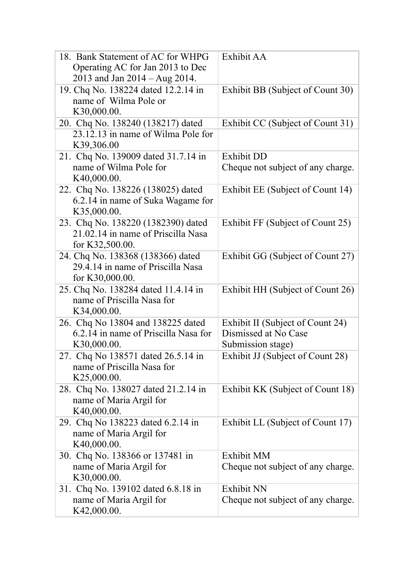| 18. Bank Statement of AC for WHPG<br>Operating AC for Jan 2013 to Dec<br>2013 and Jan 2014 – Aug 2014. | Exhibit AA                        |
|--------------------------------------------------------------------------------------------------------|-----------------------------------|
| 19. Chq No. 138224 dated 12.2.14 in<br>name of Wilma Pole or<br>K30,000.00.                            | Exhibit BB (Subject of Count 30)  |
| 20. Chq No. 138240 (138217) dated                                                                      | Exhibit CC (Subject of Count 31)  |
| 23.12.13 in name of Wilma Pole for<br>K39,306.00                                                       |                                   |
| 21. Chq No. 139009 dated 31.7.14 in                                                                    | <b>Exhibit DD</b>                 |
| name of Wilma Pole for<br>K40,000.00.                                                                  | Cheque not subject of any charge. |
| 22. Chq No. 138226 (138025) dated<br>6.2.14 in name of Suka Wagame for<br>K35,000.00.                  | Exhibit EE (Subject of Count 14)  |
| 23. Chq No. 138220 (1382390) dated<br>21.02.14 in name of Priscilla Nasa<br>for K32,500.00.            | Exhibit FF (Subject of Count 25)  |
| 24. Chq No. 138368 (138366) dated<br>29.4.14 in name of Priscilla Nasa<br>for K30,000.00.              | Exhibit GG (Subject of Count 27)  |
| 25. Chq No. 138284 dated 11.4.14 in<br>name of Priscilla Nasa for<br>K34,000.00.                       | Exhibit HH (Subject of Count 26)  |
| 26. Chq No 13804 and 138225 dated                                                                      | Exhibit II (Subject of Count 24)  |
| 6.2.14 in name of Priscilla Nasa for                                                                   | Dismissed at No Case              |
| K30,000.00.                                                                                            | Submission stage)                 |
| 27. Chq No 138571 dated 26.5.14 in<br>name of Priscilla Nasa for<br>K25,000.00.                        | Exhibit JJ (Subject of Count 28)  |
| 28. Chq No. 138027 dated 21.2.14 in<br>name of Maria Argil for<br>K40,000.00.                          | Exhibit KK (Subject of Count 18)  |
| 29. Chq No 138223 dated 6.2.14 in<br>name of Maria Argil for<br>K40,000.00.                            | Exhibit LL (Subject of Count 17)  |
| 30. Chq No. 138366 or 137481 in                                                                        | <b>Exhibit MM</b>                 |
| name of Maria Argil for<br>K30,000.00.                                                                 | Cheque not subject of any charge. |
| 31. Chq No. 139102 dated 6.8.18 in                                                                     | <b>Exhibit NN</b>                 |
| name of Maria Argil for<br>K42,000.00.                                                                 | Cheque not subject of any charge. |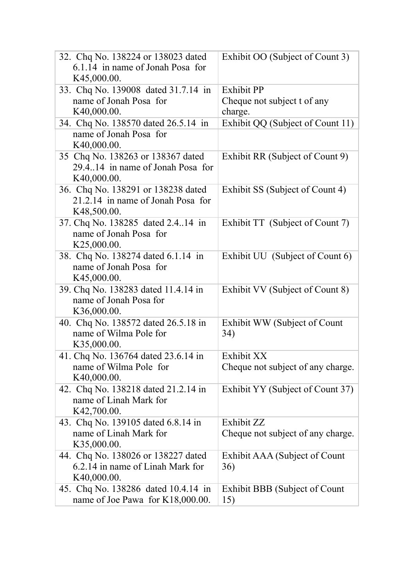| 32. Chq No. 138224 or 138023 dated<br>6.1.14 in name of Jonah Posa for<br>K45,000.00.  | Exhibit OO (Subject of Count 3)                             |
|----------------------------------------------------------------------------------------|-------------------------------------------------------------|
| 33. Chq No. 139008 dated 31.7.14 in<br>name of Jonah Posa for<br>K40,000.00.           | <b>Exhibit PP</b><br>Cheque not subject t of any<br>charge. |
| 34. Chq No. 138570 dated 26.5.14 in                                                    | Exhibit QQ (Subject of Count 11)                            |
| name of Jonah Posa for<br>K40,000.00.                                                  |                                                             |
| 35 Chq No. 138263 or 138367 dated<br>29.4.14 in name of Jonah Posa for<br>K40,000.00.  | Exhibit RR (Subject of Count 9)                             |
| 36. Chq No. 138291 or 138238 dated<br>21.2.14 in name of Jonah Posa for<br>K48,500.00. | Exhibit SS (Subject of Count 4)                             |
| 37. Chq No. 138285 dated 2.414 in<br>name of Jonah Posa for<br>K25,000.00.             | Exhibit TT (Subject of Count 7)                             |
| 38. Chq No. 138274 dated 6.1.14 in<br>name of Jonah Posa for<br>K45,000.00.            | Exhibit UU (Subject of Count 6)                             |
| 39. Chq No. 138283 dated 11.4.14 in<br>name of Jonah Posa for<br>K36,000.00.           | Exhibit VV (Subject of Count 8)                             |
| 40. Chq No. 138572 dated 26.5.18 in<br>name of Wilma Pole for<br>K35,000.00.           | Exhibit WW (Subject of Count<br>34)                         |
| 41. Chq No. 136764 dated 23.6.14 in<br>name of Wilma Pole for<br>K40,000.00.           | Exhibit XX<br>Cheque not subject of any charge.             |
| 42. Chq No. 138218 dated 21.2.14 in<br>name of Linah Mark for<br>K42,700.00.           | Exhibit YY (Subject of Count 37)                            |
| 43. Chq No. 139105 dated 6.8.14 in<br>name of Linah Mark for<br>K35,000.00.            | Exhibit ZZ<br>Cheque not subject of any charge.             |
| 44. Chq No. 138026 or 138227 dated<br>6.2.14 in name of Linah Mark for<br>K40,000.00.  | Exhibit AAA (Subject of Count<br>36)                        |
| 45. Chq No. 138286 dated 10.4.14 in<br>name of Joe Pawa for K18,000.00.                | Exhibit BBB (Subject of Count<br>15)                        |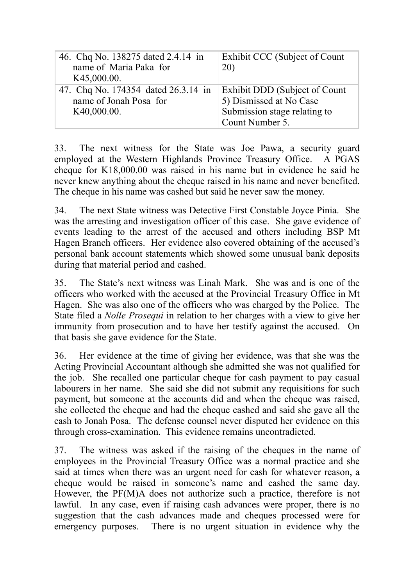| 46. Chq No. 138275 dated 2.4.14 in  | Exhibit CCC (Subject of Count |
|-------------------------------------|-------------------------------|
| name of Maria Paka for              | 20)                           |
| K45,000.00.                         |                               |
| 47. Chq No. 174354 dated 26.3.14 in | Exhibit DDD (Subject of Count |
| name of Jonah Posa for              | 5) Dismissed at No Case       |
| K40,000.00.                         | Submission stage relating to  |
|                                     | Count Number 5.               |

33. The next witness for the State was Joe Pawa, a security guard employed at the Western Highlands Province Treasury Office. A PGAS cheque for K18,000.00 was raised in his name but in evidence he said he never knew anything about the cheque raised in his name and never benefited. The cheque in his name was cashed but said he never saw the money.

34. The next State witness was Detective First Constable Joyce Pinia. She was the arresting and investigation officer of this case. She gave evidence of events leading to the arrest of the accused and others including BSP Mt Hagen Branch officers. Her evidence also covered obtaining of the accused's personal bank account statements which showed some unusual bank deposits during that material period and cashed.

35. The State's next witness was Linah Mark. She was and is one of the officers who worked with the accused at the Provincial Treasury Office in Mt Hagen. She was also one of the officers who was charged by the Police. The State filed a *Nolle Prosequi* in relation to her charges with a view to give her immunity from prosecution and to have her testify against the accused. On that basis she gave evidence for the State.

36. Her evidence at the time of giving her evidence, was that she was the Acting Provincial Accountant although she admitted she was not qualified for the job. She recalled one particular cheque for cash payment to pay casual labourers in her name. She said she did not submit any requisitions for such payment, but someone at the accounts did and when the cheque was raised, she collected the cheque and had the cheque cashed and said she gave all the cash to Jonah Posa. The defense counsel never disputed her evidence on this through cross-examination. This evidence remains uncontradicted.

37. The witness was asked if the raising of the cheques in the name of employees in the Provincial Treasury Office was a normal practice and she said at times when there was an urgent need for cash for whatever reason, a cheque would be raised in someone's name and cashed the same day. However, the PF(M)A does not authorize such a practice, therefore is not lawful. In any case, even if raising cash advances were proper, there is no suggestion that the cash advances made and cheques processed were for emergency purposes. There is no urgent situation in evidence why the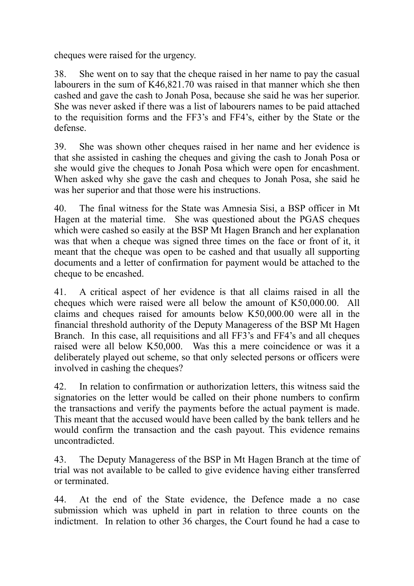cheques were raised for the urgency.

38. She went on to say that the cheque raised in her name to pay the casual labourers in the sum of K46,821.70 was raised in that manner which she then cashed and gave the cash to Jonah Posa, because she said he was her superior. She was never asked if there was a list of labourers names to be paid attached to the requisition forms and the FF3's and FF4's, either by the State or the defense.

39. She was shown other cheques raised in her name and her evidence is that she assisted in cashing the cheques and giving the cash to Jonah Posa or she would give the cheques to Jonah Posa which were open for encashment. When asked why she gave the cash and cheques to Jonah Posa, she said he was her superior and that those were his instructions.

40. The final witness for the State was Amnesia Sisi, a BSP officer in Mt Hagen at the material time. She was questioned about the PGAS cheques which were cashed so easily at the BSP Mt Hagen Branch and her explanation was that when a cheque was signed three times on the face or front of it, it meant that the cheque was open to be cashed and that usually all supporting documents and a letter of confirmation for payment would be attached to the cheque to be encashed.

41. A critical aspect of her evidence is that all claims raised in all the cheques which were raised were all below the amount of K50,000.00. All claims and cheques raised for amounts below K50,000.00 were all in the financial threshold authority of the Deputy Manageress of the BSP Mt Hagen Branch. In this case, all requisitions and all FF3's and FF4's and all cheques raised were all below K50,000. Was this a mere coincidence or was it a deliberately played out scheme, so that only selected persons or officers were involved in cashing the cheques?

42. In relation to confirmation or authorization letters, this witness said the signatories on the letter would be called on their phone numbers to confirm the transactions and verify the payments before the actual payment is made. This meant that the accused would have been called by the bank tellers and he would confirm the transaction and the cash payout. This evidence remains uncontradicted.

43. The Deputy Manageress of the BSP in Mt Hagen Branch at the time of trial was not available to be called to give evidence having either transferred or terminated.

44. At the end of the State evidence, the Defence made a no case submission which was upheld in part in relation to three counts on the indictment. In relation to other 36 charges, the Court found he had a case to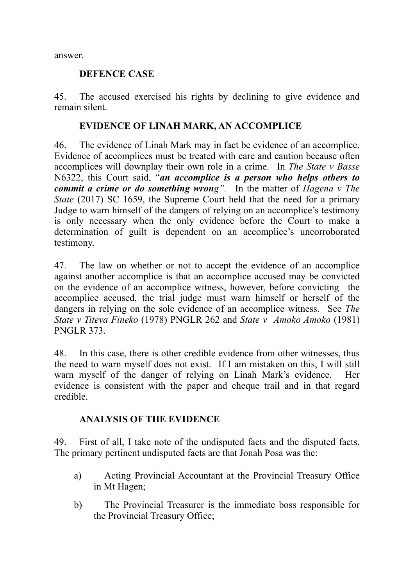answer.

#### **DEFENCE CASE**

45. The accused exercised his rights by declining to give evidence and remain silent.

#### **EVIDENCE OF LINAH MARK, AN ACCOMPLICE**

46. The evidence of Linah Mark may in fact be evidence of an accomplice. Evidence of accomplices must be treated with care and caution because often accomplices will downplay their own role in a crime. In *The State v Basse*  N6322, this Court said, "*an accomplice is a person who helps others to commit a crime or do something wrong".* In the matter of *Hagena v The State* (2017) SC 1659, the Supreme Court held that the need for a primary Judge to warn himself of the dangers of relying on an accomplice's testimony is only necessary when the only evidence before the Court to make a determination of guilt is dependent on an accomplice's uncorroborated testimony.

47. The law on whether or not to accept the evidence of an accomplice against another accomplice is that an accomplice accused may be convicted on the evidence of an accomplice witness, however, before convicting the accomplice accused, the trial judge must warn himself or herself of the dangers in relying on the sole evidence of an accomplice witness. See *The State v Titeva Fineko* (1978) PNGLR 262 and *State v Amoko Amoko* (1981) PNGLR 373.

48. In this case, there is other credible evidence from other witnesses, thus the need to warn myself does not exist. If I am mistaken on this, I will still warn myself of the danger of relying on Linah Mark's evidence. Her evidence is consistent with the paper and cheque trail and in that regard credible.

## **ANALYSIS OF THE EVIDENCE**

49. First of all, I take note of the undisputed facts and the disputed facts. The primary pertinent undisputed facts are that Jonah Posa was the:

- a) Acting Provincial Accountant at the Provincial Treasury Office in Mt Hagen;
- b) The Provincial Treasurer is the immediate boss responsible for the Provincial Treasury Office;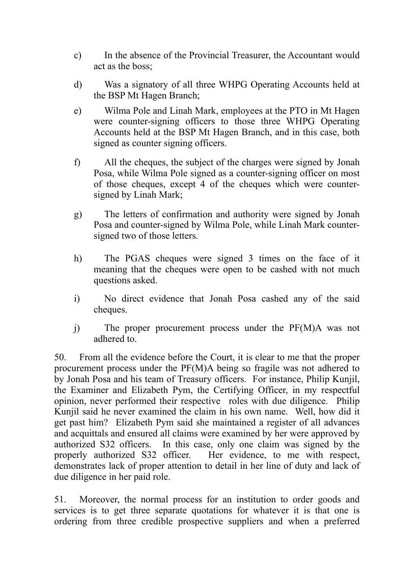- c) In the absence of the Provincial Treasurer, the Accountant would act as the boss;
- d) Was a signatory of all three WHPG Operating Accounts held at the BSP Mt Hagen Branch;
- e) Wilma Pole and Linah Mark, employees at the PTO in Mt Hagen were counter-signing officers to those three WHPG Operating Accounts held at the BSP Mt Hagen Branch, and in this case, both signed as counter signing officers.
- f) All the cheques, the subject of the charges were signed by Jonah Posa, while Wilma Pole signed as a counter-signing officer on most of those cheques, except 4 of the cheques which were countersigned by Linah Mark;
- g) The letters of confirmation and authority were signed by Jonah Posa and counter-signed by Wilma Pole, while Linah Mark countersigned two of those letters.
- h) The PGAS cheques were signed 3 times on the face of it meaning that the cheques were open to be cashed with not much questions asked.
- i) No direct evidence that Jonah Posa cashed any of the said cheques.
- j) The proper procurement process under the PF(M)A was not adhered to.

50. From all the evidence before the Court, it is clear to me that the proper procurement process under the PF(M)A being so fragile was not adhered to by Jonah Posa and his team of Treasury officers. For instance, Philip Kunjil, the Examiner and Elizabeth Pym, the Certifying Officer, in my respectful opinion, never performed their respective roles with due diligence. Philip Kunjil said he never examined the claim in his own name. Well, how did it get past him? Elizabeth Pym said she maintained a register of all advances and acquittals and ensured all claims were examined by her were approved by authorized S32 officers. In this case, only one claim was signed by the properly authorized S32 officer. Her evidence, to me with respect, demonstrates lack of proper attention to detail in her line of duty and lack of due diligence in her paid role.

51. Moreover, the normal process for an institution to order goods and services is to get three separate quotations for whatever it is that one is ordering from three credible prospective suppliers and when a preferred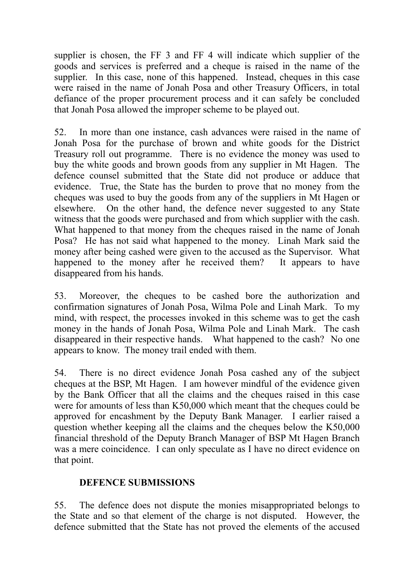supplier is chosen, the FF 3 and FF 4 will indicate which supplier of the goods and services is preferred and a cheque is raised in the name of the supplier. In this case, none of this happened. Instead, cheques in this case were raised in the name of Jonah Posa and other Treasury Officers, in total defiance of the proper procurement process and it can safely be concluded that Jonah Posa allowed the improper scheme to be played out.

52. In more than one instance, cash advances were raised in the name of Jonah Posa for the purchase of brown and white goods for the District Treasury roll out programme. There is no evidence the money was used to buy the white goods and brown goods from any supplier in Mt Hagen. The defence counsel submitted that the State did not produce or adduce that evidence. True, the State has the burden to prove that no money from the cheques was used to buy the goods from any of the suppliers in Mt Hagen or elsewhere. On the other hand, the defence never suggested to any State witness that the goods were purchased and from which supplier with the cash. What happened to that money from the cheques raised in the name of Jonah Posa? He has not said what happened to the money. Linah Mark said the money after being cashed were given to the accused as the Supervisor. What happened to the money after he received them? It appears to have disappeared from his hands.

53. Moreover, the cheques to be cashed bore the authorization and confirmation signatures of Jonah Posa, Wilma Pole and Linah Mark. To my mind, with respect, the processes invoked in this scheme was to get the cash money in the hands of Jonah Posa, Wilma Pole and Linah Mark. The cash disappeared in their respective hands. What happened to the cash? No one appears to know. The money trail ended with them.

54. There is no direct evidence Jonah Posa cashed any of the subject cheques at the BSP, Mt Hagen. I am however mindful of the evidence given by the Bank Officer that all the claims and the cheques raised in this case were for amounts of less than K50,000 which meant that the cheques could be approved for encashment by the Deputy Bank Manager. I earlier raised a question whether keeping all the claims and the cheques below the K50,000 financial threshold of the Deputy Branch Manager of BSP Mt Hagen Branch was a mere coincidence. I can only speculate as I have no direct evidence on that point.

## **DEFENCE SUBMISSIONS**

55. The defence does not dispute the monies misappropriated belongs to the State and so that element of the charge is not disputed. However, the defence submitted that the State has not proved the elements of the accused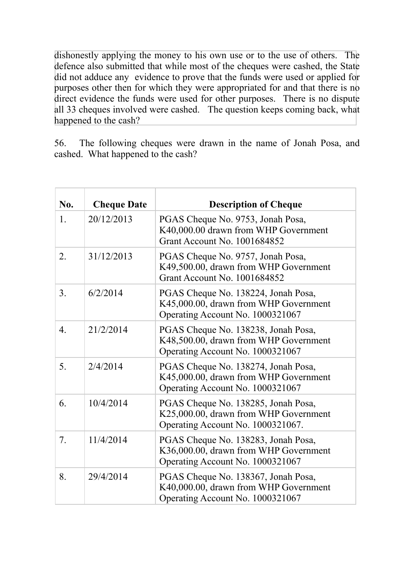dishonestly applying the money to his own use or to the use of others. The defence also submitted that while most of the cheques were cashed, the State did not adduce any evidence to prove that the funds were used or applied for purposes other then for which they were appropriated for and that there is no direct evidence the funds were used for other purposes. There is no dispute all 33 cheques involved were cashed. The question keeps coming back, what happened to the cash?

56. The following cheques were drawn in the name of Jonah Posa, and cashed. What happened to the cash?

| No.              | <b>Cheque Date</b> | <b>Description of Cheque</b>                                                                                      |
|------------------|--------------------|-------------------------------------------------------------------------------------------------------------------|
| 1.               | 20/12/2013         | PGAS Cheque No. 9753, Jonah Posa,<br>K40,000.00 drawn from WHP Government<br>Grant Account No. 1001684852         |
| 2.               | 31/12/2013         | PGAS Cheque No. 9757, Jonah Posa,<br>K49,500.00, drawn from WHP Government<br>Grant Account No. 1001684852        |
| 3 <sub>1</sub>   | 6/2/2014           | PGAS Cheque No. 138224, Jonah Posa,<br>K45,000.00, drawn from WHP Government<br>Operating Account No. 1000321067  |
| $\overline{4}$ . | 21/2/2014          | PGAS Cheque No. 138238, Jonah Posa,<br>K48,500.00, drawn from WHP Government<br>Operating Account No. 1000321067  |
| 5.               | 2/4/2014           | PGAS Cheque No. 138274, Jonah Posa,<br>K45,000.00, drawn from WHP Government<br>Operating Account No. 1000321067  |
| 6.               | 10/4/2014          | PGAS Cheque No. 138285, Jonah Posa,<br>K25,000.00, drawn from WHP Government<br>Operating Account No. 1000321067. |
| 7.               | 11/4/2014          | PGAS Cheque No. 138283, Jonah Posa,<br>K36,000.00, drawn from WHP Government<br>Operating Account No. 1000321067  |
| 8.               | 29/4/2014          | PGAS Cheque No. 138367, Jonah Posa,<br>K40,000.00, drawn from WHP Government<br>Operating Account No. 1000321067  |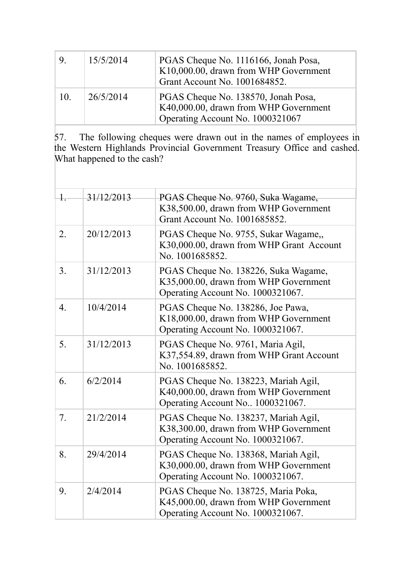| 9 <sub>l</sub> | 15/5/2014 | PGAS Cheque No. 1116166, Jonah Posa,<br>K10,000.00, drawn from WHP Government<br>Grant Account No. 1001684852.   |
|----------------|-----------|------------------------------------------------------------------------------------------------------------------|
| 10.            | 26/5/2014 | PGAS Cheque No. 138570, Jonah Posa,<br>K40,000.00, drawn from WHP Government<br>Operating Account No. 1000321067 |

57. The following cheques were drawn out in the names of employees in the Western Highlands Provincial Government Treasury Office and cashed. What happened to the cash?

| $\frac{1}{2}$    | 31/12/2013 | PGAS Cheque No. 9760, Suka Wagame,<br>K38,500.00, drawn from WHP Government<br>Grant Account No. 1001685852.       |
|------------------|------------|--------------------------------------------------------------------------------------------------------------------|
| 2.               | 20/12/2013 | PGAS Cheque No. 9755, Sukar Wagame,<br>K30,000.00, drawn from WHP Grant Account<br>No. 1001685852.                 |
| 3 <sub>1</sub>   | 31/12/2013 | PGAS Cheque No. 138226, Suka Wagame,<br>K35,000.00, drawn from WHP Government<br>Operating Account No. 1000321067. |
| $\overline{4}$ . | 10/4/2014  | PGAS Cheque No. 138286, Joe Pawa,<br>K18,000.00, drawn from WHP Government<br>Operating Account No. 1000321067.    |
| 5.               | 31/12/2013 | PGAS Cheque No. 9761, Maria Agil,<br>K37,554.89, drawn from WHP Grant Account<br>No. 1001685852.                   |
| 6.               | 6/2/2014   | PGAS Cheque No. 138223, Mariah Agil,<br>K40,000.00, drawn from WHP Government<br>Operating Account No 1000321067.  |
| 7.               | 21/2/2014  | PGAS Cheque No. 138237, Mariah Agil,<br>K38,300.00, drawn from WHP Government<br>Operating Account No. 1000321067. |
| 8.               | 29/4/2014  | PGAS Cheque No. 138368, Mariah Agil,<br>K30,000.00, drawn from WHP Government<br>Operating Account No. 1000321067. |
| 9.               | 2/4/2014   | PGAS Cheque No. 138725, Maria Poka,<br>K45,000.00, drawn from WHP Government<br>Operating Account No. 1000321067.  |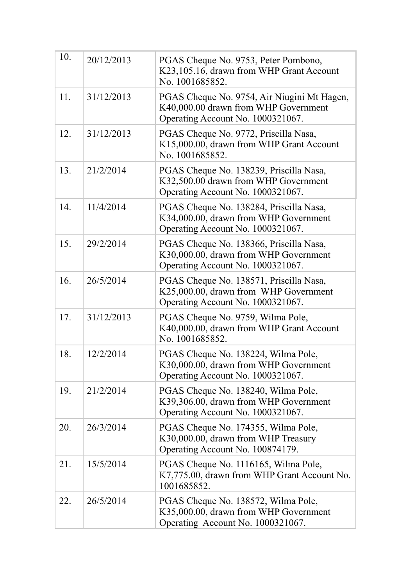| 10. | 20/12/2013 | PGAS Cheque No. 9753, Peter Pombono,<br>K23,105.16, drawn from WHP Grant Account<br>No. 1001685852.                      |
|-----|------------|--------------------------------------------------------------------------------------------------------------------------|
| 11. | 31/12/2013 | PGAS Cheque No. 9754, Air Niugini Mt Hagen,<br>K40,000.00 drawn from WHP Government<br>Operating Account No. 1000321067. |
| 12. | 31/12/2013 | PGAS Cheque No. 9772, Priscilla Nasa,<br>K15,000.00, drawn from WHP Grant Account<br>No. 1001685852.                     |
| 13. | 21/2/2014  | PGAS Cheque No. 138239, Priscilla Nasa,<br>K32,500.00 drawn from WHP Government<br>Operating Account No. 1000321067.     |
| 14. | 11/4/2014  | PGAS Cheque No. 138284, Priscilla Nasa,<br>K34,000.00, drawn from WHP Government<br>Operating Account No. 1000321067.    |
| 15. | 29/2/2014  | PGAS Cheque No. 138366, Priscilla Nasa,<br>K30,000.00, drawn from WHP Government<br>Operating Account No. 1000321067.    |
| 16. | 26/5/2014  | PGAS Cheque No. 138571, Priscilla Nasa,<br>K25,000.00, drawn from WHP Government<br>Operating Account No. 1000321067.    |
| 17. | 31/12/2013 | PGAS Cheque No. 9759, Wilma Pole,<br>K40,000.00, drawn from WHP Grant Account<br>No. 1001685852.                         |
| 18. | 12/2/2014  | PGAS Cheque No. 138224, Wilma Pole,<br>K30,000.00, drawn from WHP Government<br>Operating Account No. 1000321067.        |
| 19. | 21/2/2014  | PGAS Cheque No. 138240, Wilma Pole,<br>K39,306.00, drawn from WHP Government<br>Operating Account No. 1000321067.        |
| 20. | 26/3/2014  | PGAS Cheque No. 174355, Wilma Pole,<br>K30,000.00, drawn from WHP Treasury<br>Operating Account No. 100874179.           |
| 21. | 15/5/2014  | PGAS Cheque No. 1116165, Wilma Pole,<br>K7,775.00, drawn from WHP Grant Account No.<br>1001685852.                       |
| 22. | 26/5/2014  | PGAS Cheque No. 138572, Wilma Pole,<br>K35,000.00, drawn from WHP Government<br>Operating Account No. 1000321067.        |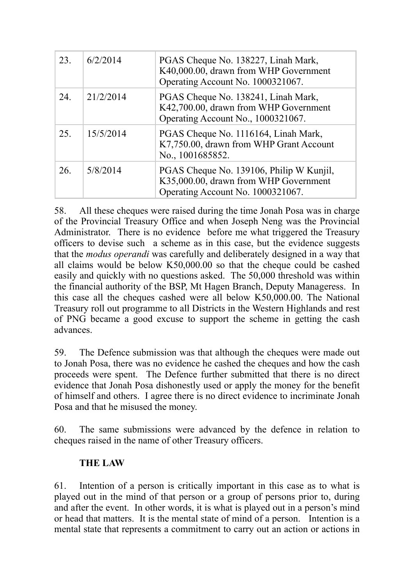| 23. | 6/2/2014  | PGAS Cheque No. 138227, Linah Mark,<br>K40,000.00, drawn from WHP Government<br>Operating Account No. 1000321067.      |
|-----|-----------|------------------------------------------------------------------------------------------------------------------------|
| 24. | 21/2/2014 | PGAS Cheque No. 138241, Linah Mark,<br>K42,700.00, drawn from WHP Government<br>Operating Account No., 1000321067.     |
| 25. | 15/5/2014 | PGAS Cheque No. 1116164, Linah Mark,<br>K7,750.00, drawn from WHP Grant Account<br>No., 1001685852.                    |
| 26. | 5/8/2014  | PGAS Cheque No. 139106, Philip W Kunjil,<br>K35,000.00, drawn from WHP Government<br>Operating Account No. 1000321067. |

58. All these cheques were raised during the time Jonah Posa was in charge of the Provincial Treasury Office and when Joseph Neng was the Provincial Administrator. There is no evidence before me what triggered the Treasury officers to devise such a scheme as in this case, but the evidence suggests that the *modus operandi* was carefully and deliberately designed in a way that all claims would be below K50,000.00 so that the cheque could be cashed easily and quickly with no questions asked. The 50,000 threshold was within the financial authority of the BSP, Mt Hagen Branch, Deputy Manageress. In this case all the cheques cashed were all below K50,000.00. The National Treasury roll out programme to all Districts in the Western Highlands and rest of PNG became a good excuse to support the scheme in getting the cash advances.

59. The Defence submission was that although the cheques were made out to Jonah Posa, there was no evidence he cashed the cheques and how the cash proceeds were spent. The Defence further submitted that there is no direct evidence that Jonah Posa dishonestly used or apply the money for the benefit of himself and others. I agree there is no direct evidence to incriminate Jonah Posa and that he misused the money.

60. The same submissions were advanced by the defence in relation to cheques raised in the name of other Treasury officers.

## **THE LAW**

61. Intention of a person is critically important in this case as to what is played out in the mind of that person or a group of persons prior to, during and after the event. In other words, it is what is played out in a person's mind or head that matters. It is the mental state of mind of a person. Intention is a mental state that represents a commitment to carry out an action or actions in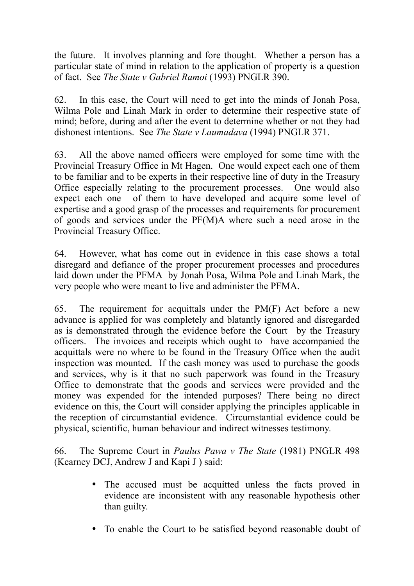the future. It involves planning and fore thought. Whether a person has a particular state of mind in relation to the application of property is a question of fact. See *The State v Gabriel Ramoi* (1993) PNGLR 390.

62. In this case, the Court will need to get into the minds of Jonah Posa, Wilma Pole and Linah Mark in order to determine their respective state of mind; before, during and after the event to determine whether or not they had dishonest intentions. See *The State v Laumadava* (1994) PNGLR 371.

63. All the above named officers were employed for some time with the Provincial Treasury Office in Mt Hagen. One would expect each one of them to be familiar and to be experts in their respective line of duty in the Treasury Office especially relating to the procurement processes. One would also expect each one of them to have developed and acquire some level of expertise and a good grasp of the processes and requirements for procurement of goods and services under the PF(M)A where such a need arose in the Provincial Treasury Office.

64. However, what has come out in evidence in this case shows a total disregard and defiance of the proper procurement processes and procedures laid down under the PFMA by Jonah Posa, Wilma Pole and Linah Mark, the very people who were meant to live and administer the PFMA.

65. The requirement for acquittals under the PM(F) Act before a new advance is applied for was completely and blatantly ignored and disregarded as is demonstrated through the evidence before the Court by the Treasury officers. The invoices and receipts which ought to have accompanied the acquittals were no where to be found in the Treasury Office when the audit inspection was mounted. If the cash money was used to purchase the goods and services, why is it that no such paperwork was found in the Treasury Office to demonstrate that the goods and services were provided and the money was expended for the intended purposes? There being no direct evidence on this, the Court will consider applying the principles applicable in the reception of circumstantial evidence. Circumstantial evidence could be physical, scientific, human behaviour and indirect witnesses testimony.

66. The Supreme Court in *Paulus Pawa v The State* (1981) PNGLR 498 (Kearney DCJ, Andrew J and Kapi J ) said:

- The accused must be acquitted unless the facts proved in evidence are inconsistent with any reasonable hypothesis other than guilty.
- To enable the Court to be satisfied beyond reasonable doubt of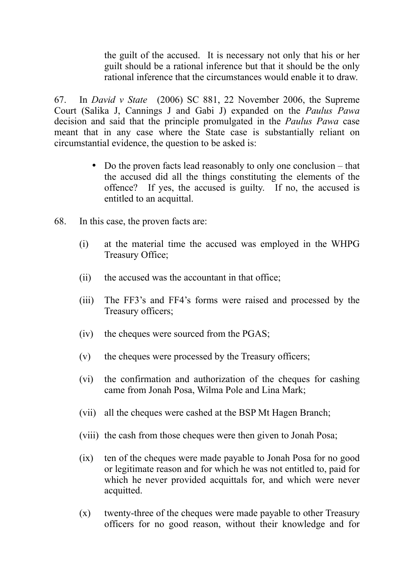the guilt of the accused. It is necessary not only that his or her guilt should be a rational inference but that it should be the only rational inference that the circumstances would enable it to draw.

67. In *David v State* (2006) SC 881, 22 November 2006, the Supreme Court (Salika J, Cannings J and Gabi J) expanded on the *Paulus Pawa*  decision and said that the principle promulgated in the *Paulus Pawa* case meant that in any case where the State case is substantially reliant on circumstantial evidence, the question to be asked is:

- Do the proven facts lead reasonably to only one conclusion that the accused did all the things constituting the elements of the offence? If yes, the accused is guilty. If no, the accused is entitled to an acquittal.
- 68. In this case, the proven facts are:
	- (i) at the material time the accused was employed in the WHPG Treasury Office;
	- (ii) the accused was the accountant in that office;
	- (iii) The FF3's and FF4's forms were raised and processed by the Treasury officers;
	- (iv) the cheques were sourced from the PGAS;
	- (v) the cheques were processed by the Treasury officers;
	- (vi) the confirmation and authorization of the cheques for cashing came from Jonah Posa, Wilma Pole and Lina Mark;
	- (vii) all the cheques were cashed at the BSP Mt Hagen Branch;
	- (viii) the cash from those cheques were then given to Jonah Posa;
	- (ix) ten of the cheques were made payable to Jonah Posa for no good or legitimate reason and for which he was not entitled to, paid for which he never provided acquittals for, and which were never acquitted.
	- (x) twenty-three of the cheques were made payable to other Treasury officers for no good reason, without their knowledge and for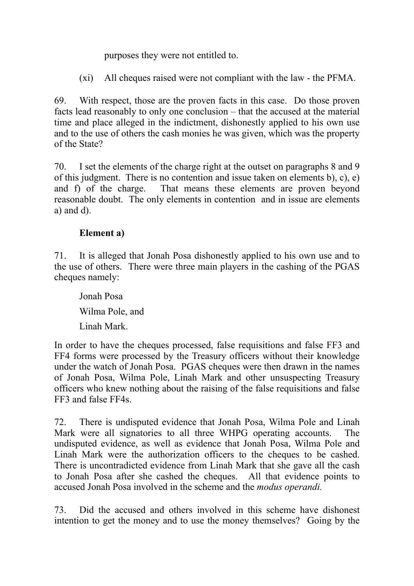purposes they were not entitled to.

(xi) All cheques raised were not compliant with the law - the PFMA.

69. With respect, those are the proven facts in this case. Do those proven facts lead reasonably to only one conclusion – that the accused at the material time and place alleged in the indictment, dishonestly applied to his own use and to the use of others the cash monies he was given, which was the property of the State?

70. I set the elements of the charge right at the outset on paragraphs 8 and 9 of this judgment. There is no contention and issue taken on elements b), c), e) and f) of the charge. That means these elements are proven beyond reasonable doubt. The only elements in contention and in issue are elements a) and d).

## **Element a)**

71. It is alleged that Jonah Posa dishonestly applied to his own use and to the use of others. There were three main players in the cashing of the PGAS cheques namely:

Jonah Posa Wilma Pole, and Linah Mark.

In order to have the cheques processed, false requisitions and false FF3 and FF4 forms were processed by the Treasury officers without their knowledge under the watch of Jonah Posa. PGAS cheques were then drawn in the names of Jonah Posa, Wilma Pole, Linah Mark and other unsuspecting Treasury officers who knew nothing about the raising of the false requisitions and false FF3 and false FF4s.

72. There is undisputed evidence that Jonah Posa, Wilma Pole and Linah Mark were all signatories to all three WHPG operating accounts. The undisputed evidence, as well as evidence that Jonah Posa, Wilma Pole and Linah Mark were the authorization officers to the cheques to be cashed. There is uncontradicted evidence from Linah Mark that she gave all the cash to Jonah Posa after she cashed the cheques. All that evidence points to accused Jonah Posa involved in the scheme and the *modus operandi.*

73. Did the accused and others involved in this scheme have dishonest intention to get the money and to use the money themselves? Going by the